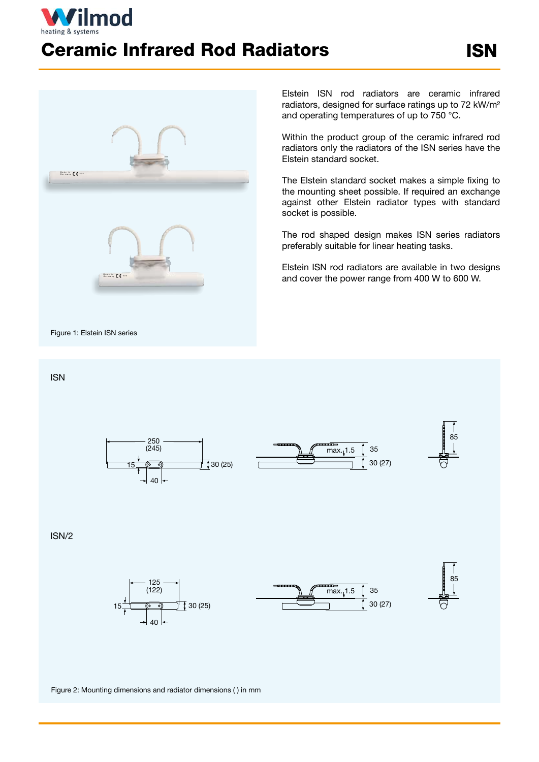## ïlmod Ceramic Infrared Rod Radiators



Elstein ISN rod radiators are ceramic infrared radiators, designed for surface ratings up to 72 kW/m² and operating temperatures of up to 750 °C.

Within the product group of the ceramic infrared rod radiators only the radiators of the ISN series have the Elstein standard socket.

The Elstein standard socket makes a simple fixing to the mounting sheet possible. If required an exchange against other Elstein radiator types with standard socket is possible.

The rod shaped design makes ISN series radiators preferably suitable for linear heating tasks.

Elstein ISN rod radiators are available in two designs and cover the power range from 400 W to 600 W.

 $\frac{1}{2}$  max. 1.5  $\int$  35

30 (27)

## ISN





85

## ISN/2



Figure 2: Mounting dimensions and radiator dimensions ( ) in mm